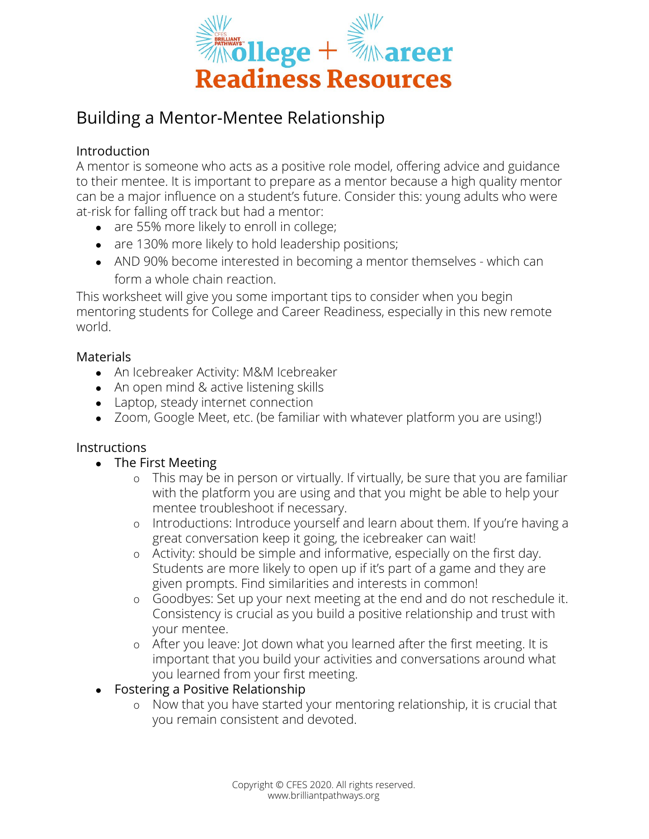

# Building a Mentor-Mentee Relationship

## Introduction

A mentor is someone who acts as a positive role model, offering advice and guidance to their mentee. It is important to prepare as a mentor because a high quality mentor can be a major influence on a student's future. Consider this: young adults who were at-risk for falling off track but had a mentor:

- are 55% more likely to enroll in college;
- are 130% more likely to hold leadership positions;
- AND 90% become interested in becoming a mentor themselves which can form a whole chain reaction.

This worksheet will give you some important tips to consider when you begin mentoring students for College and Career Readiness, especially in this new remote world.

### Materials

- An Icebreaker Activity: M&M Icebreaker
- An open mind & active listening skills
- Laptop, steady internet connection
- Zoom, Google Meet, etc. (be familiar with whatever platform you are using!)

### **Instructions**

- The First Meeting
	- o This may be in person or virtually. If virtually, be sure that you are familiar with the platform you are using and that you might be able to help your mentee troubleshoot if necessary.
	- o Introductions: Introduce yourself and learn about them. If you're having a great conversation keep it going, the icebreaker can wait!
	- o Activity: should be simple and informative, especially on the first day. Students are more likely to open up if it's part of a game and they are given prompts. Find similarities and interests in common!
	- o Goodbyes: Set up your next meeting at the end and do not reschedule it. Consistency is crucial as you build a positive relationship and trust with your mentee.
	- o After you leave: Jot down what you learned after the first meeting. It is important that you build your activities and conversations around what you learned from your first meeting.
- Fostering a Positive Relationship
	- o Now that you have started your mentoring relationship, it is crucial that you remain consistent and devoted.